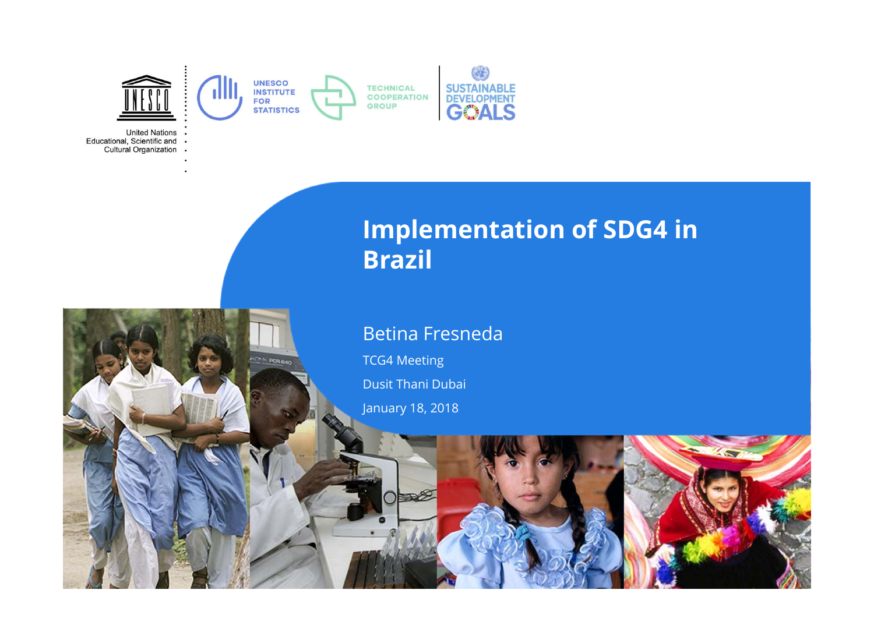

PCD o ...

**United Nations** Educational, Scientific and . Cultural Organization .

# **Implementation of SDG4 in Brazil**

#### Betina Fresneda

TCG4 Meeting

Dusit Thani Dubai

January 18, 2018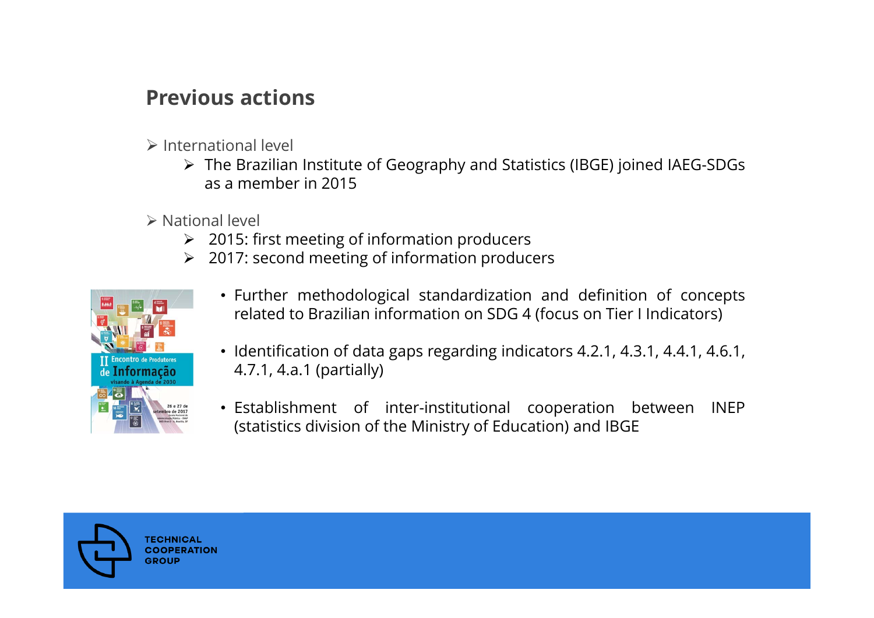## **Previous actions**

- $\triangleright$  International level
	- The Brazilian Institute of Geography and Statistics (IBGE) joined IAEG-SDGs as a member in 2015
- National level
	- 2015: first meeting of information producers
	- 2017: second meeting of information producers



- Further methodological standardization and definition of concepts related to Brazilian information on SDG 4 (focus on Tier I Indicators)
- Identification of data gaps regarding indicators 4.2.1, 4.3.1, 4.4.1, 4.6.1, 4.7.1, 4.a.1 (partially)
- Establishment of inter-institutional cooperation between INEP (statistics division of the Ministry of Education) and IBGE

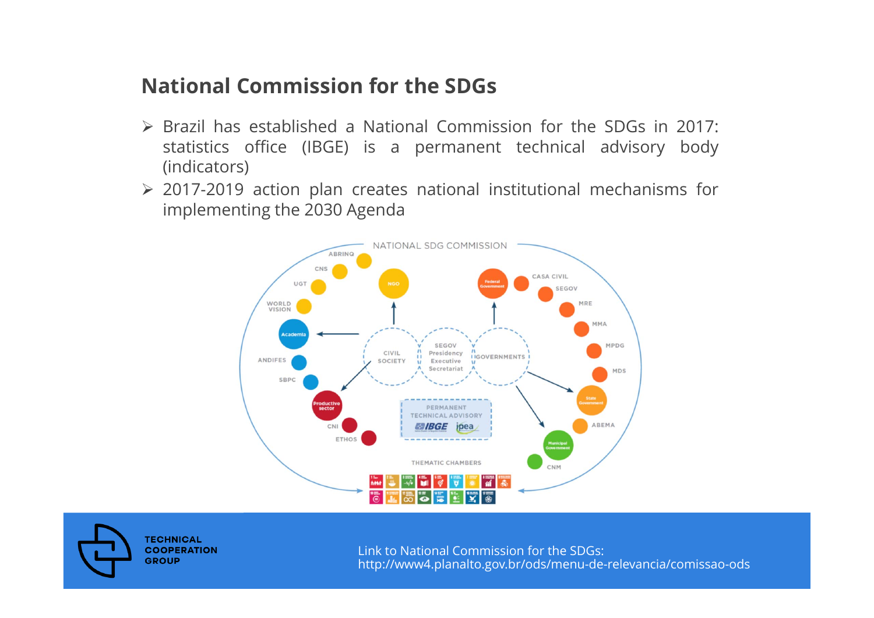#### **National Commission for the SDGs**

- Brazil has established <sup>a</sup> National Commission for the SDGs in 2017: statistics office (IBGE) is <sup>a</sup> permanent technical advisory body (indicators)
- 2017-2019 action plan creates national institutional mechanisms for implementing the 2030 Agenda





Link to National Commission for the SDGs: http://www4.planalto.gov.br/ods/menu-de-relevancia/comissao-ods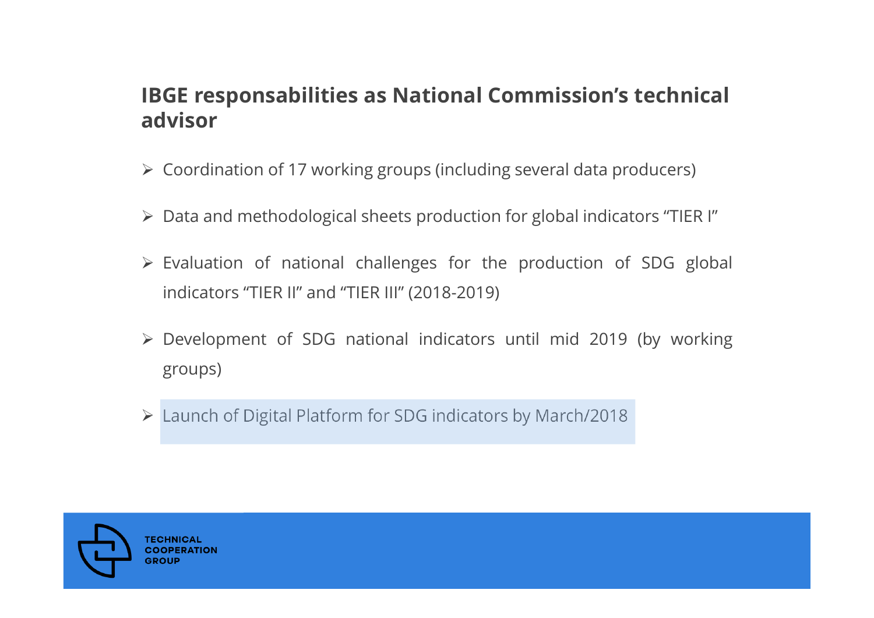#### **IBGE responsabilities as National Commission's technical advisor**

- Coordination of 17 working groups (including several data producers)
- Data and methodological sheets production for global indicators "TIER I"
- Evaluation of national challenges for the production of SDG global indicators "TIER II" and "TIER III" (2018-2019)
- Development of SDG national indicators until mid 2019 (by working groups)
- Launch of Digital Platform for SDG indicators by March/2018

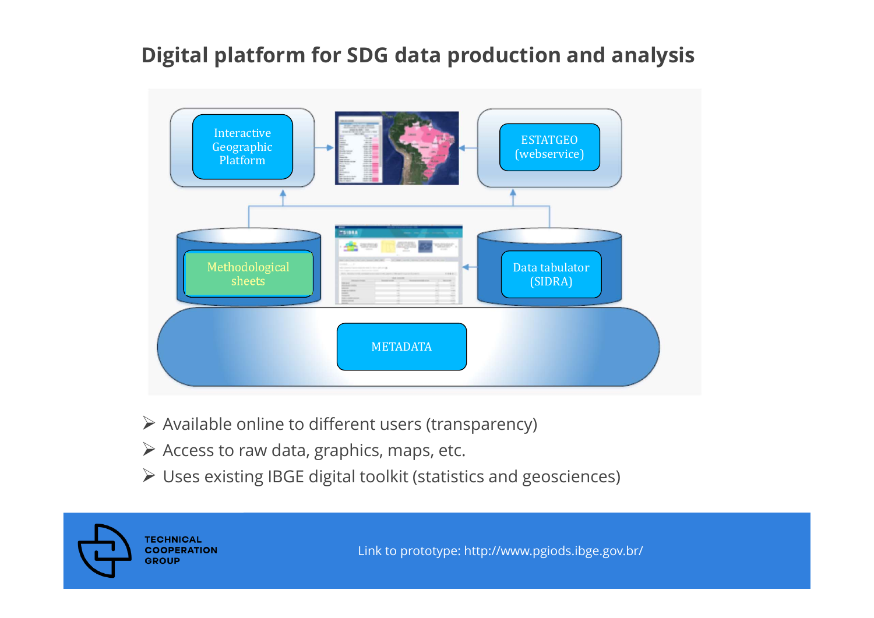## **Digital platform for SDG data production and analysis**



- $\triangleright$  Available online to different users (transparency)
- $\triangleright$  Access to raw data, graphics, maps, etc.
- Uses existing IBGE digital toolkit (statistics and geosciences)



Link to prototype: http://www.pgiods.ibge.gov.br/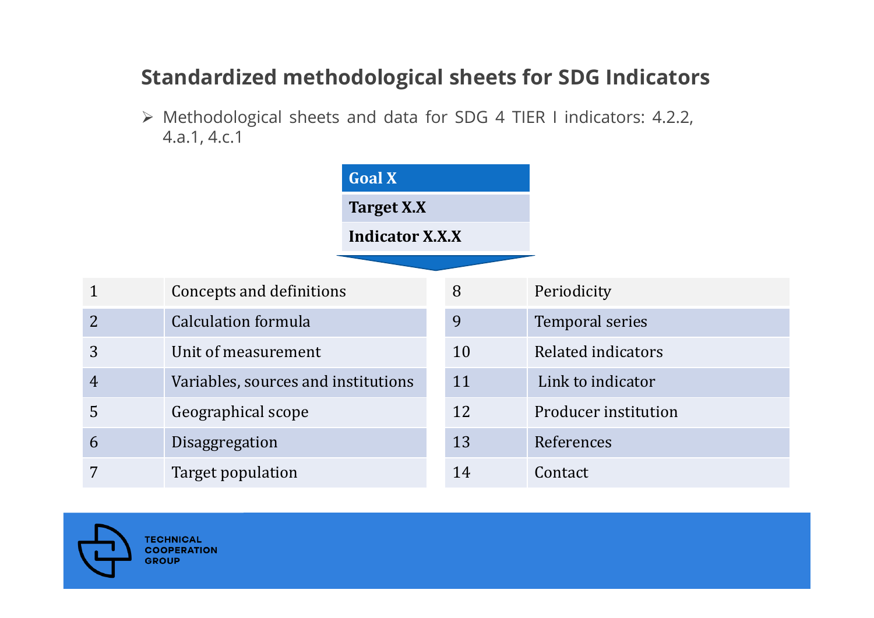## **Standardized methodological sheets for SDG Indicators**

 Methodological sheets and data for SDG 4 TIER I indicators: 4.2.2, 4.a.1, 4.c.1

|                | <b>Goal X</b>                       |                        |    |                        |
|----------------|-------------------------------------|------------------------|----|------------------------|
|                |                                     | Target X.X             |    |                        |
|                |                                     | <b>Indicator X.X.X</b> |    |                        |
|                |                                     |                        |    |                        |
| 1              | Concepts and definitions            |                        | 8  | Periodicity            |
| $\overline{2}$ | <b>Calculation formula</b>          |                        | 9  | <b>Temporal series</b> |
| 3              | Unit of measurement                 |                        | 10 | Related indicators     |
| $\overline{4}$ | Variables, sources and institutions |                        | 11 | Link to indicator      |
| 5              | Geographical scope                  |                        | 12 | Producer institution   |
| 6              | Disaggregation                      |                        | 13 | References             |
| 7              | Target population                   |                        | 14 | Contact                |

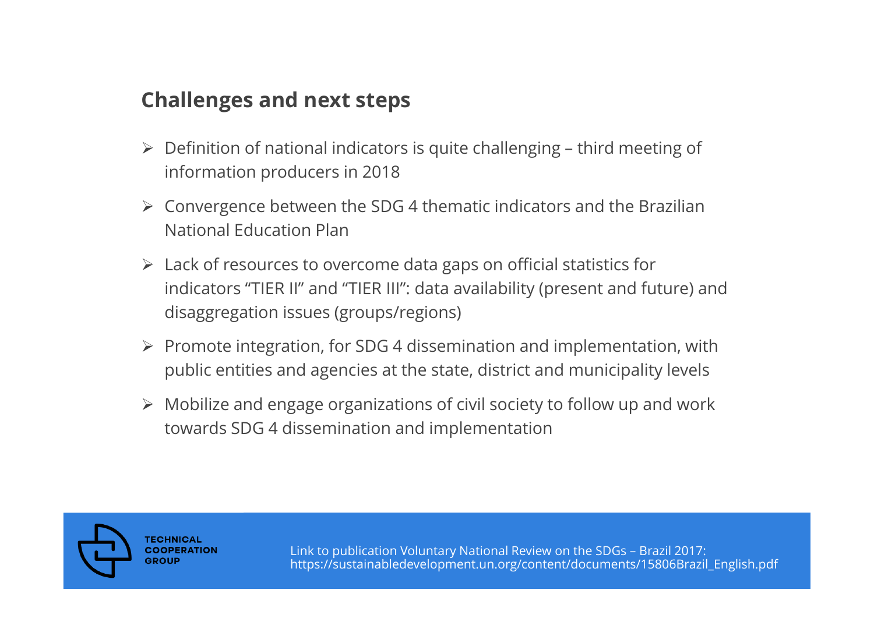## **Challenges and next steps**

- $\triangleright$  Definition of national indicators is quite challenging third meeting of information producers in 2018
- $\blacktriangleright$  Convergence between the SDG 4 thematic indicators and the Brazilian National Education Plan
- $\triangleright$  Lack of resources to overcome data gaps on official statistics for indicators "TIER II" and "TIER III": data availability (present and future) and disaggregation issues (groups/regions)
- $\triangleright$  Promote integration, for SDG 4 dissemination and implementation, with public entities and agencies at the state, district and municipality levels
- $\triangleright$  Mobilize and engage organizations of civil society to follow up and work towards SDG 4 dissemination and implementation



Link to publication Voluntary National Review on the SDGs – Brazil 2017: https://sustainabledevelopment.un.org/content/documents/15806Brazil\_English.pdf